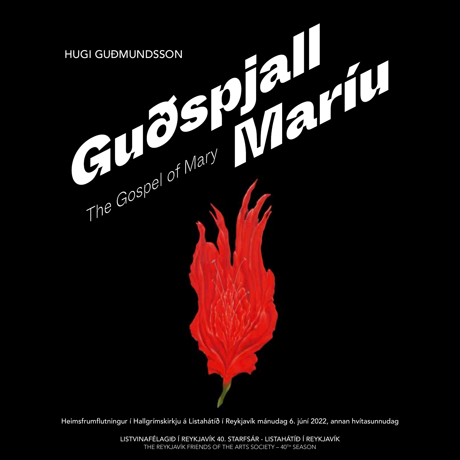

Heimsfrumflutningur í Hallgrímskirkju á Listahátíð í Reykjavík mánudag 6. júní 2022, annan hvítasunnudag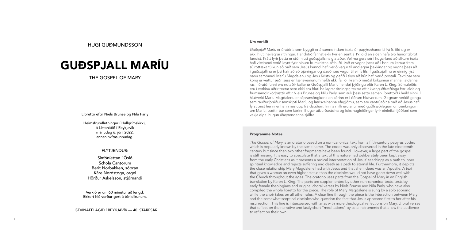#### Um verkið

*Guðspjall Maríu* er óratóría sem byggð er á samnefndum texta úr papýrushandriti frá 5. öld og er ekki hluti heilagrar ritningar. Handritið fannst ekki fyrr en seint á 19. öld en síðan hafa tvö handritsbrot fundist. Þrátt fyrir þetta er stór hluti guðspjallsins glataður. Vel má gera sér í hugarlund að slíkum texta hafi vísvitandi verið leynt fyrir hinum frumkristna söfnuði. Það er vegna þess að í honum kemur fram sú róttæka túlkun að það sem Jesús kenndi hafi verið vegur til andlegrar þekkingar og vegna þess að í guðspjallinu er því hafnað að þjáningar og dauði séu vegur til eilífs lífs. Í guðspjallinu er einnig lýst nánu sambandi Maríu Magdalenu og Jesú Krists og gefið í skyn að hún hafi verið postuli. Texti þar sem konu er veittur æðri sess en lærisveinunum hefði ekki fallið í kramið meðal kirkjunnar manna í aldanna rás. Í óratóríunni eru notaðir kaflar úr Guðspjalli Maríu í enskri þýðingu eftir Karen L. King. Sömuleiðis eru í verkinu aðrir textar sem ekki eru hluti heilagrar ritningar, textar eftir kvenguðfræðinga fyrri alda og frumsamdir kórþættir eftir Niels Brunse og Nilu Parly, sem auk þess settu saman líbrettóið í heild sinni. Í hlutverki Maríu Magdalenu er sópransöngkona en kórinn er í öðrum hlutverkum. Gegnum verkið ganga sem rauður þráður samskipti Maríu og lærisveinanna efagjörnu, sem eru vantrúaðir á það að Jesús hafi fyrst birst henni er hann reis upp frá dauðum. Inni á milli eru aríur með guðfræðilegum umþenkingum um Maríu, þættir þar sem kórinn íhugar atburðarásina og loks hugleiðingar fyrir einleikshljóðfæri sem vekja eiga íhugun áheyrendanna sjálfra.

#### Programme Notes

*The Gospel of Mary* is an oratorio based on a non-canonical text from a fifth-century papyrus codex which is popularly known by the same name. The codex was only discovered in the late nineteenth century but since then two other fragments have been found. However, a large part of the gospel is still missing. It is easy to speculate that a text of this nature had deliberately been kept away from the early Christians as it presents a radical interpretation of Jesus' teachings as a path to inner spiritual knowledge and rejects suffering and death as a path to eternal life. Furthermore, it depicts the close relationship Mary Magdalene had with Jesus and that she indeed was an Apostle. A text that gives a woman an even higher status than the disciples would not have gone down well with the Church throughout the ages. The oratorio uses parts from the Gospel of Mary in an English translation by Karen L. King. The parts are supplemented by other non-canonical texts, texts by early female theologians and original choral verses by Niels Brunse and Nila Parly, who have also compiled the whole libretto for the piece. The role of Mary Magdalene is sung by a solo soprano while the choir takes on all other roles. A clear line through the piece is the interaction between Mary and the somewhat sceptical disciples who question the fact that Jesus appeared first to her after his resurrection. This line is interspersed with arias with more theological reflections on Mary, choral verses that reflect on the narrative and lastly short "meditations" by solo instruments that allow the audience to reflect on their own.

HUGI GUÐMUNDSSON

# GUÐSPJALL MARÍU

THE GOSPEL OF MARY

Líbrettó eftir Niels Brunse og Nilu Parly

Heimsfrumflutningur í Hallgrímskirkju á Listahátíð í Reykjavík mánudag 6. júní 2022, annan hvítasunnudag.

### FLYTJENDUR:

Sinfóníettan í Ósló Schola Cantorum Berit Norbakken, sópran Kåre Nordstoga, orgel Hörður Áskelsson, stjórnandi

Verkið er um 60 mínútur að lengd. Ekkert hlé verður gert á tónleikunum.

LISTVINAFÉLAGIÐ Í REYKJAVÍK — 40. STARFSÁR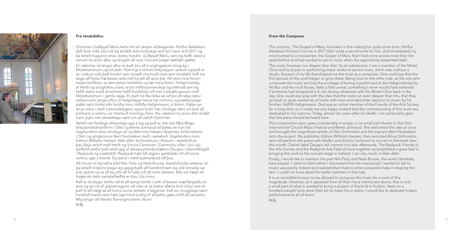

#### Frá tónskáldinu

Óratórían *Guðspjall Maríu* hefur átt sér langan aðdraganda. Hörður Áskelsson ljáði fyrst máls á því að ég skrifaði stórt kirkjulegt verk fyrir hann árið 2017 og þá leitaði hugurinn strax í þetta handrit, *Guðspjall Maríu*, sem ég hafði rekist á rúmum tíu árum áður og langaði að nýta í tónverk þegar tækifæri gæfist.

En ræturnar ná lengra aftur en það, því að á unglingsárum söng ég í Mótettukórnum og tók þátt í flutningi á stórum kirkjulegum verkum og það er án nokkurs vafa það tímabil sem mótaði mig hvað mest sem tónskáld. Það má segja að fyrstu fræ þessa verks hafi byrjað að spíra þar. Að vera núna hinum megin borðsins, sá sem semur tónlistina og fær hana flutta í Hallgrímskirkju af Herði og söngfólkinu hans, er því hálfóraunverulegt og eitthvað sem ég hefði aldrei trúað ef einhver hefði hvíslað því að mér á kóræfingunum með Mótettukórnum í gamla daga. En það má líka leika sér að því að rekja rætur verksins enn lengra aftur, til helgardaga heima hjá mömmu og pabba þegar pabbi setti tónlist eftir bróður sinn, Hafliða Hallgrímsson, á fóninn. Pabbi var lengi virkur í starfi Listvinafélagsins og því þótti mér ótrúlega vænt um það að pöntunin á verkinu var tileinkuð minningu hans. Nú, næstum tíu árum eftir andlát hans, þykir mér sérstaklega vænt um að verkið hljómi hér.

Verkið vatt fljótlega allverulega upp á sig og það er ekki síst Alþjóðlegu kirkjutónlistarhátíðinni í Ósló og Bente Johnsrud að þakka en hún tók hugmyndinni strax ótrúlega vel og fékk hina frábæru flytjendur Sinfóníettuna í Ósló og söngkonuna Berit Norbakken með í verkefnið. Útgefandinn minn, Edition Wilhelm Hansen, fékk síðan Sinfóníettuna í Árósum í verkefnið en þau flytja verkið með Herði og Schola Cantorum í Danmörku síðar í júní og í kjölfarið verður það tekið upp af danska plötufyrirtækinu Dacapo. Listvinafélagið í Reykjavík og Listahátíð í Reykjavík hafa lyft algjöru grettistaki við að koma verkinu upp á Íslandi. Ég stend í mikilli þakkarskuld við þau.

Að lokum vil ég nefna þátt Nilu Parly og Niels Brunse, textahöfunda verksins, en ég leitaði til þeirra þegar ég uppgötvaði að handritið sem ég vildi tónsetja var ansi götótt og sá að ég yrði að fá hjálp við að móta textann. Ekki var hægt að hugsa sér betri samstarfsaðila en þau í þá vinnu.

Það er ótrúlegur heiður að fá að semja tónlist í verki af þessari stærðargráðu en eins og sjá má af upptalningunni að ofan er sá þáttur aðeins brot af því sem til þarf til að hægt sé að koma svona verkefni á laggirnar. Það eru örugglega nærri hundrað manns sem hafa lagt hönd á plóg til að þetta gæti orðið að veruleika. Mig langar að tileinka flutninginn þeim öllum!

H.G.

#### From the Composer

This oratorio, *The Gospel of Mary*, has been in the making for quite some time. Hörður Áskelsson first put it to me in 2017 that I write a sacred work for him, and immediately my mind turned to a manuscript, the Gospel of Mary, that I had come across more than ten years before and had wanted to set to music when the opportunity presented itself.

The roots, however, run deeper than that. As an adolescent, I was a member of the Motet Choir and took part in performing major works of sacred music, which was, without a doubt, the part of my life that shaped me the most as a composer. One could say that the first sprouts of this work began to grow there. Being now on the other side, as the one who composes the music and has the privilege of having it performed at the Hallgrímskirkja by Hörður and his vocal forces, feels a little unreal, something I never would have believed if someone had whispered it to me during rehearsals with the Motet Choir back in the day. One could also play with the idea that the roots run even deeper than this, that they go back to quiet weekends at home with mum and dad when dad put on music by his brother, Hafliði Hallgrímsson. Dad was an active member of the Friends of the Arts Society for a long time, so it made me very happy indeed that the commissioning of this work was dedicated to his memory. Today, almost ten years after his death, I am particularly glad that the piece should be heard here.

This composition soon grew considerably in scope, in no small part thanks to the Oslo International Church Music Festival and Bente Johnsrud. She welcomed the idea at once and brought the magnificent artists of Oslo Sinfonietta and the soprano Berit Norbakken onto the project. My publisher, Edition Wilhelm Hansen, then recruited Århus Sinfonietta, who will perform the piece with Hörður and Schola Cantorum in concert in Denmark later this month. Danish label Dacapo will commit it to disc afterwards. The Reykjavík Friends of the Arts Society and the Reykjavík Arts Festival have together accomplished a great feat in bringing this work to the concert stage in Iceland. I am very much in their debt.

Finally, I would like to mention the part Nila Parly and Niels Brunse, the work's librettists, have played. I came to them when I discovered that the manuscript I wanted to set to music was patchy indeed and realized that I had to enlist someone's help in shaping the text. I could not have asked for better partners in that task.

It is an incredible honour to be allowed to compose the music for a work of this magnitude. However, as is apparent from all that I have mentioned above, that is only a small part of what is needed to bring a project of this kind to fruition. Near on a hundred people have done their bit to make this a reality. I would like to dedicate today's performance to all of them!

H.G.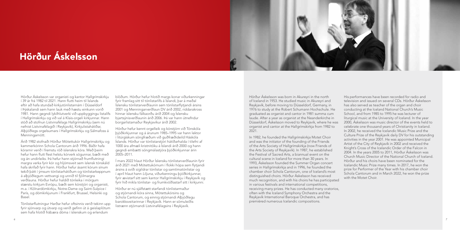Hörður Áskelsson var organisti og kantor Hallgrímskirkju í 39 ár frá 1982 til 2021. Hann flutti heim til Íslands eftir að hafa stundað kirkjutónlistarnám í Düsseldorf í Þýskalandi sem hann lauk með hæstu einkunn vorið 1981. Hann gegndi lykilhlutverki við uppbyggingu listalífs í Hallgrímskirkju og við val á Klais-orgeli kirkjunnar. Hann stóð að stofnun Listvinafélags Hallgrímskirkju (sem nú nefnist Listvinafélagið í Reykjavík), Kirkjulistahátíðar, Alþjóðlegs orgelsumars í Hallgrímskirkju og Sálmafoss á Menningarnótt.

Árið 1982 stofnaði Hörður Mótettukór Hallgrímskirkju og kammerkórinn Schola Cantorum árið 1996. Báðir hafa kórarnir verið í fremstu röð íslenskra kóra. Með þeim hefur hann flutt flest helstu kórverk sögunnar, bæði með og án undirleiks. Þá hefur hann stjórnað frumflutningi margra verka fyrir kór og hljómsveit sem íslensk tónskáld hafa skrifað fyrir hann. Hörður hefur ásamt kórum sínum tekið þátt í ýmsum tónlistarhátíðum og tónlistarkeppnum á alþjóðlegum vettvangi og unnið til fjölmargra verðlauna. Hörður hefur haldið tónleika í mörgum stærstu kirkjum Evrópu, bæði sem kórstjóri og organisti, m.a. í Kölnardómkirkju, Notre-Dame og Saint-Sulpice í París, og dómkirkjunum í Frankfurt, Brussel, Helsinki og Basel.

Tónlistarflutningur Harðar hefur oftsinnis verið tekinn upp fyrir sjónvarp og útvarp og verið gefinn út á geislaplötum sem hafa hlotið frábæra dóma í íslenskum og erlendum

blöðum. Hörður hefur hlotið margs konar viðurkenningar fyrir framlag sitt til tónlistarlífs á Íslandi, þar á meðal Íslensku tónlistarverðlaunin sem tónlistarflytjandi ársins 2001 og Menningarverðlaun DV árið 2002, riddarakross hinnar íslensku fálkaorðu árið 2004 og Íslensku bjartsýnisverðlaunin árið 2006. Þá var hann útnefndur borgarlistamaður Reykjavíkur árið 2002.

Hörður hefur kennt orgelleik og kórstjórn við Tónskóla þjóðkirkjunnar og á árunum 1985–1995 var hann lektor í litúrgískum söngfræðum við guðfræðideild Háskóla Íslands. Hörður var tónlistarstjóri hátíðarhalda í tilefni af 1000 ára afmæli kristnitöku á Íslandi árið 2000 og hann gegndi embætti söngmálastjóra þjóðkirkjunnar árin 2005–2011.

Í mars 2022 hlaut Hörður Íslensku tónlistarverðlaunin fyrir árið 2021 með Mótettukórnum í flokki hópa sem flytjandi ársins á sviði sígildrar tónlistar og samtímatónlistar og í apríl hlaut hann *Liljuna*, viðurkenningu þjóðkirkjunnar, fyrir ævistarf sitt sem kantor Hallgrímskirkju í Reykjavík og fyrir hið mikla tónlistar- og frumkvöðlastarf sitt í kirkjunni.

Hörður er nú sjálfstætt starfandi tónlistarmaður og stjórnandi kóra sinna, Mótettukórsins og Schola Cantorum, og einnig stjórnandi Alþjóðlegu barokksveitarinnar í Reykjavík. Hann er sömuleiðis listrænn stjórnandi Listvinafélagsins í Reykjavík.

Hörður Áskelsson was born in Akureyri in the north of Iceland in 1953. He studied music in Akureyri and Reykjavík, before moving to Düsseldorf, Germany, in 1976 to study at the Robert Schumann Hochschule. He graduated as organist and cantor in 1981 summa cum laude. After a year as organist at the Neanderkirche in Düsseldorf, Áskelsson moved to Reykjavík, where he was organist and cantor at the Hallgrímskirkja from 1982 to 2021.

In 1982, he founded the Hallgrímskirkja Motet Choir and was the initiator of the founding of the Friends of the Arts Society of Hallgrímskirkja (now Friends of the Arts Society of Reykjavík). In 1987, he established the Festival of Sacred Arts, a biannual event on the cultural scene in Iceland for more than 30 years. In 1993, Áskelsson founded the Summer Organ concert series in Hallgrímskirkja and in 1996, he founded the chamber choir Schola Cantorum, one of Iceland's most distinguished choirs. Hörður Áskelsson has received much recognition, and with his choirs he has participated in various festivals and international competitions, receiving many prizes. He has conducted many oratorios, often with the Iceland Symphony Orchestra and the Reykjavík International Baroque Orchestra, and has premièred numerous Icelandic compositions.

His performances have been recorded for radio and television and issued on several CDs. Hörður Áskelsson has also served as teacher of the organ and choir conducting at the Iceland National Church's Music School, and from 1985 to 1995 he was lecturer of liturgical music at the University of Iceland. In the year 2000, Áskelsson was music director of the events held to celebrate one thousand years of Christianity in Iceland. In 2002, he received the Icelandic Music Prize and the Culture Prize of the Reykjavík daily DV for his outstanding activities in the year 2001. He was appointed Municipal Artist of the City of Reykjavík in 2002 and received the Knight's Cross of the Icelandic Order of the Falcon in 2004. In the years 2005 to 2011, Hörður Áskelsson was Church Music Director of the National Church of Iceland. Hörður and his choirs have been nominated for the Icelandic Music Prize many times. In 2017, he won the prize for Performer of the Year with his chamber choir Schola Cantorum and in March 2022, he won the prize with the Motet Choir.



## Hörður Áskelsson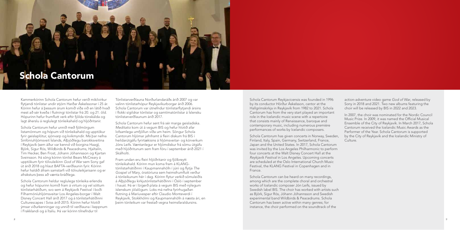Kammerkórinn Schola Cantorum hefur verið mikilvirkur flytjandi tónlistar undir stjórn Harðar Áskelssonar í 25 ár. Kórinn hefur á þessum árum komið víða við en látið hvað mest að sér kveða í flutningi tónlistar frá 20. og 21. öld. Hópurinn hefur frumflutt verk eftir fjölda tónskálda og lagt áherslu á reglulegt tónleikahald og hljóðritanir.

Schola Cantorum hefur unnið með fjölmörgum listamönnum og hópum við tónleikahald og upptökur fyrir geislaplötur, sjónvarp og kvikmyndir. Má þar nefna Sinfóníuhljómsveit Íslands, Alþjóðlegu barokksveitina í Reykjavík (sem áður var kennd við borgina Haag), Björk, Sigur Rós, Wildbirds & Peacedrums, Hjaltalín, Tim Hecker, Ben Frost, Jóhann Jóhannsson og Kjartan Sveinsson. Þá söng kórinn tónlist Bears McCreary á upptökum fyrir tölvuleikinn *God of War* sem Sony gaf út árið 2018 og hlaut BAFTA-verðlaunin fyrir. Kórinn hefur haldið áfram samstarfi við tölvuleikjarisann og er afraksturs þess að vænta bráðlega.

Schola Cantorum heldur reglulega tónleika erlendis og hefur hópurinn komið fram á virtum og vel sóttum tónlistarhátíðum, svo sem á Reykjavík Festival í boði Fílharmóníuhljómsveitar Los Angeles-borgar í Walt Disney Concert Hall árið 2017 og á tónlistarhátíðinni Culturescapes í Sviss árið 2015. Kórinn hefur hlotið ýmsar viðurkenningar og unnið til verðlauna í keppnum í Frakklandi og á Ítalíu. Þá var kórinn tilnefndur til

Tónlistarverðlauna Norðurlandaráðs árið 2007 og var valinn tónlistarhópur Reykjavíkurborgar árið 2006. Schola Cantorum var útnefndur tónlistarflytjandi ársins í flokki sígildrar tónlistar og samtímatónlistar á Íslensku tónlistarverðlaunum árið 2017.

Schola Cantorum hefur sent frá sér marga geisladiska. *Meditatio* kom út á vegum BIS og hefur hlotið afar lofsamlega umfjöllun víða um heim. Söngur Schola Cantorum hljómar jafnframt á fleiri diskum frá BIS í heildarútgáfu fyrirtækisins á hljómsveitar- og kórverkum Jóns Leifs. Væntanlegur er hljómdiskur frá sömu útgáfu með hljóðritunum sem fram fóru í september árið 2021 í Skálholti.

Fram undan eru fleiri hljóðritanir og fjölbreytt tónleikahald. Kórinn mun koma fram á KLANGtónlistarhátíðinni í Kaupmannahöfn í júní og flytja *The Gospel of Mary*, óratóríuna sem heimsfrumflutt verður á tónleikunum hér í dag. Kórinn flytur verkið sömuleiðis á Alþjóðlegu kirkjutónlistarhátíðinni í Ósló í september í haust. Þá er í bígerð plata á vegum BIS með nýlegum íslenskum jólalögum. Loks má nefna fyrirhugaðan flutning á Maríuvesper eftir Claudio Monteverdi í Reykjavík, Stokkhólmi og Kaupmannahöfn á næsta ári, en þeim tónleikum var frestað vegna heimsfaraldursins.

Schola Cantorum Reykjavicensis was founded in 1996 by its conductor Hörður Áskelsson, cantor at the Hallgrímskirkja in Reykjavík from 1982 to 2021. Schola Cantorum has from the very start played an important role in the Icelandic music scene with a repertoire that consists mainly of Renaissance, baroque and contemporary music, including numerous première performances of works by Icelandic composers.

Schola Cantorum has given concerts in Norway, Sweden, Finland, Italy, Spain, Germany, Switzerland, France, Japan and the United States. In 2017, Schola Cantorum was invited by the Los Angeles Philharmonic to perform four concerts at the Walt Disney Concert Hall at the *Reykjavík Festival* in Los Angeles. Upcoming concerts are scheduled at the Oslo International Church Music Festival, the KLANG Festival in Copenhagen and in France.

Schola Cantorum can be heard on many recordings, among which are the complete choral and orchestral works of Icelandic composer Jón Leifs, issued by Swedish label BIS. The choir has worked with artists such as Björk, Sigur Rós, Jóhann Jóhannsson and Swedish experimental band Wildbirds & Peacedrums. Schola Cantorum has been active within many genres; for instance, the choir performed on the soundtrack of the

action-adventure video game *God of War*, released by Sony in 2018 and 2021. Two new albums featuring the choir will be released by BIS in 2022 and 2023.

In 2007, the choir was nominated for the Nordic Council Music Prize. In 2009, it was named the Official Musical Ensemble of the City of Reykjavík. In March 2017, Schola Cantorum received the Icelandic Music Awards as the Performer of the Year. Schola Cantorum is supported by the City of Reykjavík and the Icelandic Ministry of

Culture.

## Schola Cantorum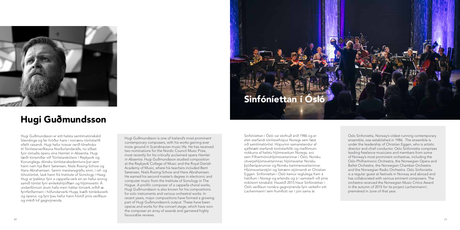Hugi Guðmundsson er eitt helsta samtímatónskáld Íslendinga og fer hróður hans í norrænu tónlistarlífi sífellt vaxandi. Hugi hefur tvisvar verið tilnefndur til Tónlistarverðlauna Norðurlandaráðs, nú síðast fyrir rómaða óperu sína *Hamlet in Absentia*. Hugi lærði tónsmíðar við Tónlistarskólann í Reykjavík og Konunglegu dönsku tónlistarakademíuna þar sem hann nam hjá Bent Sørensen, Niels Rosing-Schow og Hans Abrahamsen. Seinni meistaragráðu sinni, í raf- og tölvutónlist, lauk hann frá Institute of Sonology í Haag. Hugi er þekktur fyrir *a cappella*-verk sín en hefur einnig samið tónlist fyrir einleikshljóðfæri og hljómsveitir. Á undanförnum árum hafa meiri háttar tónverk orðið æ fyrirferðarmeiri í höfundarverki Huga, bæði tónleikaverk og óperur, og fyrir þau hefur hann hlotið ýmis verðlaun og mikið lof gagnrýnenda.

Sinfóníettan í Ósló var stofnuð árið 1986 og er elsti starfandi tónlistarhópur Noregs sem fæst við samtímatónlist. Hópurinn samanstendur af sjálfstætt starfandi tónlistarfólki og meðlimum nokkurra af helstu hljómsveitum Noregs, svo sem Fílharmóníuhljómsveitarinnar í Ósló, Norsku útvarpshljómsveitarinnar, hljómsveitar Norsku þjóðaróperunnar og Norsku kammersveitarinnar. Hljómsveitarstjóri og listrænn stjórnandi er Christian Eggen. Sinfóníettan í Ósló kemur reglulega fram á hátíðum í Noregi og erlendis og á í samstarfi við ýmis mikilsvirt tónskáld. Haustið 2015 hlaut Sinfóníettan í Ósló verðlaun norskra gagnrýnenda fyrir verkefni sitt *Lachenmann!* sem frumflutt var í júní sama ár.

Hugi Guðmundsson is one of Iceland's most prominent contemporary composers, with his works gaining ever more ground in Scandinavian music life. He has received two nominations for the Nordic Council Music Prize, most recently for his critically acclaimed opera *Hamlet in Absentia*. Hugi Guðmundsson studied composition at the Reykjavík College of Music and the Royal Danish Academy of Music, where his teachers included Bent Sørensen, Niels Rosing-Schow and Hans Abrahamsen. He earned his second master's degree in electronic and computer music from the Institute of Sonology in The Hague. A prolific composer of *a cappella* choral works, Hugi Guðmundsson is also known for his compositions for solo instruments and various orchestral works. In recent years, major compositions have formed a growing part of Hugi Guðmundsson's output. These have been operas and works for the concert stage, which have won the composer an array of awards and garnered highly favourable reviews.

Oslo Sinfonietta, Norway's oldest running contemporary ensemble, was established in 1986. The ensemble is under the leadership of Christian Eggen, who is artistic director and chief conductor. Oslo Sinfonietta comprises leading freelance musicians and members from some of Norway's most prominent orchestras, including the Oslo Philharmonic Orchestra, the Norwegian Opera and Ballet Orchestra, the Norwegian Chamber Orchestra and the Norwegian Radio Orchestra. Oslo Sinfonietta is a regular guest at festivals in Norway and abroad and has collaborated with various eminent composers. The orchestra received the Norwegian Music Critics Award in the autumn of 2015 for its project *Lachenmann!*, premièred in June of that year.



### Hugi Guðmundsson

Sinfóníettan í Ósló

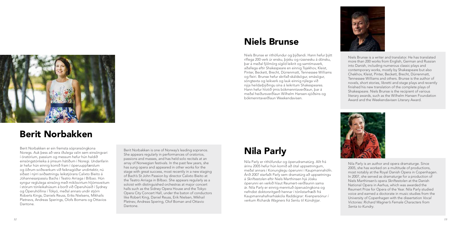Niels Brunse er rithöfundur og þýðandi. Hann hefur þýtt ríflega 200 verk úr ensku, þýsku og rússnesku á dönsku, þar á meðal fjölmörg sígild leikrit og samtímaverk, aðallega eftir Shakespeare en einnig Tsjekhov, Kleist, Pinter, Beckett, Brecht, Dürrenmatt, Tennessee Williams og fleiri. Brunse hefur skrifað skáldsögur, smásögur, söngtexta og leikverk og lauk einnig nýlega við nýja heildarþýðingu sína á leikritum Shakespeares. Hann hefur hlotið ýmis bókmenntaverðlaun, þar á meðal heiðursverðlaun Wilhelm Hansen-sjóðsins og bókmenntaverðlaun Weekendavisen.

Nila Parly er rithöfundur og óperudramatúrg. Allt frá árinu 2005 hefur hún komið að ótal uppsetningum, meðal annars í Konunglegu óperunni í Kaupmannahöfn. Árið 2007 starfaði Parly sem dramatúrg að uppsetningu á *Skriftestolen* eftir Niels Marthinsen hjá Jósku óperunni en verkið hlaut Reumert-verðlaunin sama ár. Nila Parly er einnig menntuð óperusöngkona og nefndist doktorsritgerð hennar í tónlistarfræði frá Kaupmannahafnarháskóla *Raddsigrar: Kvenpersónur í verkum Richards Wagners frá Sentu til Kúndrýjar*.

Niels Brunse is a writer and translator. He has translated more than 200 works from English, German and Russian into Danish, including numerous classic plays and contemporary works, mostly by Shakespeare but also Chekhov, Kleist, Pinter, Beckett, Brecht, Dürrenmatt, Tennessee Williams and others. Brunse is the author of novels, short stories, libretti and stage plays and recently finished his new translation of the complete plays of Shakespeare. Niels Brunse is the recipient of various literary awards, such as the Wilhelm Hansen Foundation Award and the Weekendavisen Literary Award.

Nila Parly is an author and opera dramaturge. Since 2005, she has worked on a multitude of productions, most notably at the Royal Danish Opera in Copenhagen. In 2007, she served as dramaturge for a production of Niels Marthinsen's opera *Skriftestolen* at the Danish National Opera in Aarhus, which was awarded the Reumert Prize for Opera of the Year. Nila Parly studied voice and earned a doctorate in music studies from the University of Copenhagen with the dissertation *Vocal Victories: Richard Wagner's Female Characters from Senta to Kundry*.

Berit Norbakken er ein fremsta sópransöngkona Noregs. Auk þess að vera iðulega valin sem einsöngvari í óratóríum, passíum og messum hefur hún haldið einsöngstónleika á ýmsum hátíðum í Noregi. Undanfarin ár hefur hún einnig komið fram í óperuuppfærslum og öðrum sviðsverkum við feiknagóðar undirtektir, nú síðast í nýrri sviðsetningu leikstjórans Calixto Bieito á Jóhannesarpassíu Bachs í Teatro Arriaga í Bilbao. Hún syngur reglulega einsöng með mikilsvirtum hljómsveitum í stórum tónleikahúsum á borð við Óperuhúsið í Sydney og Óperuhöllina í Tókyó, meðal annars undir stjórn Roberts Kings, Daniels Reuss, Eriks Nielsens, Míkhaíls Pletnevs, Andreas Sperings, Olofs Bomans og Ottavios Dantone.

Berit Norbakken is one of Norway's leading sopranos. She appears regularly in performances of oratorios, passions and masses, and has held solo recitals at an array of Norwegian festivals. In the past few years, she has sung opera and appeared in other works for the stage with great success, most recently in a new staging of Bach's St John Passion by director Calixto Bieito at the Teatro Arriaga in Bilbao. She appears regularly as a soloist with distinguished orchestras at major concert halls such as the Sidney Opera House and the Tokyo Opera City Concert Hall, under the baton of conductors like Robert King, Daniel Reuss, Erik Nielsen, Mikhail Pletnev, Andreas Spering, Olof Boman and Ottavio Dantone.

## Berit Norbakken





## Niels Brunse

Nila Parly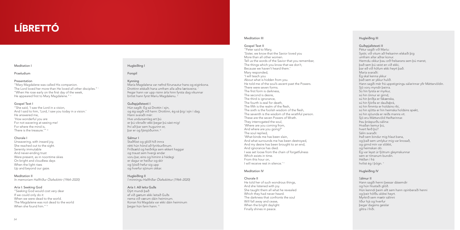"Mary Magdalene was called His companion. The Lord loved her more than He loved all other disciples." i "When He rose early on the first day of the week, He appeared first to Mary Magdalene." ii

#### Praeludium

#### Presentation

"She said, 'I saw the Lord in a vision, And I said to him, 'Lord, I saw you today in a vision.' He answered me, 'How wonderful you are For not wavering at seeing me! For where the mind is, There is the treasure.'" iii

#### Gospel Text I

"Seeking God would cost very dear If we could only do it When we were dead to the world. The Magdalene was not dead to the world When she found him." iv

#### Chorale I

"Peter said to Mary, 'Sister, we know that the Savior loved you More than all other women. Tell us the words of the Savior that you remember, The things which you know that we don't, Because we haven't heard them.' Mary responded, 'I will teach you About what is hidden from you. He told me of the soul's ascent past the Powers. There were seven forms. The first form is darkness, The second is desire, The third is ignorance, The fourth is zeal for death The fifth is the realm of the flesh, The sixth is the foolish wisdom of the flesh, The seventh is the wisdom of the wrathful person. These are the seven Powers of Wrath. They interrogated the soul, 'Where are you coming from, And where are you going?' The soul replied, 'What binds me has been slain, And what surrounds me has been destroyed, And my desire has been brought to an end, And ignorance has died. I was set loose from the chain of forgetfulness Which exists in time. From this hour on, I will receive rest in silence.' \

Unwavering, with inward joy, She reached out to the sight. Serenity immutable And never-ending trust Were present, as in noontime skies On bright and cloudless days When the light rises Up and beyond our gaze.

Meditation II *In memoriam Hallfríður Ólafsdóttir (1964–2020)*

#### Aria I: Seeking God

#### Meditation III

#### Gospel Text II

María Magdalena var nefnd förunautur hans og eiginkona. Drottinn elskaði hana umfram alla aðra lærisveina. i Þegar hann var upp risinn árla hinn fyrsta dag vikunnar birtist hann fyrst Maríu Magdalenu. ii

Guðspjallstexti II Pétur sagði við Maríu: Systir, við vitum að frelsarinn elskaði þig umfram allar aðrar konur. Hermdu okkur þau orð frelsarans sem þú manst, það sem þú veist en við ekki, þar eð við höfum ekki heyrt það. María svaraði: Ég skal kenna ykkur það sem er ykkur hulið. Hann sagði mér frá uppstigningu sálarinnar yfir Máttarvöldin. Sjö voru myndir þeirra. Sú hin fyrsta er myrkur, sú hin önnur er girnd, sú hin þriðja er fákænska, sú hin fjórða er dauðaþrá, sú hin fimmta er holdsins ríki, sú hin sjötta er hin heimska holdsins spekt, sú hin sjöunda er reiðs manns vit. Sjö eru Máttarvöld Heiftarinnar. Þau þráspurðu sálina: Hvaðan kemur þú, hvert ferð þú? Sálin svaraði: Það sem bindur mig hlaut bana, og það sem umlykur mig var knosað, og girnd mín var slökkt, og heimskan dó. Ég var leyst úr fjötrum gleymskunnar sem er tímanum bundin. Héðan í frá hvílist ég í þögn.

#### Meditation IV

#### Chorale II

He told her of such wondrous things, And she listened with joy. She taught them all what he revealed Which they had never heard. The darkness that confronts the soul Will fall away and cease When the bright daylight Finally shines in peace.

#### Hugleiðing I

#### Forspil

#### Kynning

#### Guðspjallstexti I

Hún sagði: Ég sá Drottin í sýn, og ég sagði við hann: Drottinn, ég sá þig í sýn í dag. Hann svaraði mér: Hve undursamleg ert þú er þú viknaðir ekki þegar þú sást mig! Því að þar sem hugurinn er, þar er og fjársjóðurinn. iii

#### Sálmur I

Staðföst og glöð hið innra rétti hún hönd að fyrirburðinum. Friðsæld og heiðríkja sem ekkert haggar og traust sem hvergi endar voru þar, eins og himinn á hádegi er dagur er heiður og skír og ljósið hefur sig upp og hverfur sjónum okkar.

Hugleiðing II *Í minningu Hallfríðar Ólafsdóttur (1964–2020)*

#### Aría I: Að leita Guðs

Dýrt mundi það ef við gætum ekki leitað Guðs nema við værum dáin heiminum. Konan frá Magdala var ekki dáin heiminum þegar hún fann hann. iv

#### Hugleiðing III

#### Hugleiðing IV

Sálmur II Hann sagði henni þessar dásemdir og hún hlustaði glöð. Hún kenndi þeim allt sem hann opinberaði henni og þeir höfðu aldrei heyrt. Myrkrið sem mætir sálinni líður hjá og hverfur þegar dagsins geislar glitra í friði.

# LÍBRETTÓ

#### **Meditation**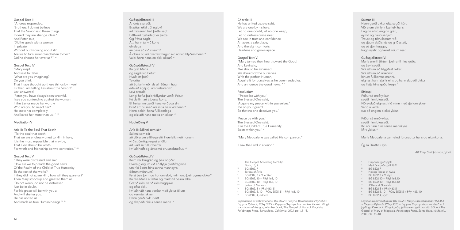#### Gospel Text III

"Mary wept And said to Peter, 'What are you imagining? Do you think That I have thought up these things by myself Or that I am telling lies about the Savior?' Levi answered, 'Peter, you have always been wrathful. I see you contending against the woman. If the Savior made her worthy, Who are you to reject her? He knew her completely And loved her more than us.'" vii

"Andrew responded, 'Brothers, I do not believe That the Savior said these things. Indeed they are strange ideas.' And Peter said, 'Did he speak with a woman In private Without our knowing about it? Are we to turn around and listen to her? Did he choose her over us?'" vi

#### Gospel Text IV

"To the soul that seeth That we are endlessly oned to Him in love, It is the most impossible that may be, That God should be wroth. For wrath and friendship be two contraries." viii

"They were distressed and said, 'How are we to preach the good news Of the Realm of the Child of True Humanity To the rest of the world? If they did not spare Him, how will they spare us?' Then Mary stood up and greeted them all. 'Do not weep, do not be distressed Nor be in doubt. For his grace will be with you all And will shelter you. He has united us And made us true Human beings<sup>"</sup> ix

#### Meditation V

#### Aria II: To the Soul That Seeth

"Mary turned their heart toward the Good, And Levi said, 'We should be ashamed. We should clothe ourselves With the perfect Human, Acquire it for ourselves as he commanded us, And announce the good news.'"  $^{\ast}$ 

#### Gospel Text V

'Peace be with you,' The Blessed One said. 'For the Child of True Humanity Exists within you.' xi

Þá grét María og sagði við Pétur: Hvað líst þér? Telurðu að ég fari með fals af ráðnum hug eða að ég ljúgi um frelsarann? Leví svaraði: Lengi hefur þú bráðlyndur verið, Pétur. Þú deilir hart á þessa konu. Ef frelsarinn gerði hana verðuga sín, hvað átt þú með að snúa baki við henni? Hann þekkti hana fullkomlega og elskaði hana meira en okkur. vii

Chorale III He has united us, she said, We are one by his love. Let no one doubt, let no one weep. Let no distress come near. We see in trust and confidence A haven, a safe place; And the sight comforts, Heartens and grows apace.

Sálinni sem sér að við erum eilíflega eitt í kærleik með honum virðist ómögulegast af öllu að Guð sé fullur heiftar. Því að heift og ástsemd eru andstæður. vill

#### Gospel Text VI

#### Postludium

"'Peace be with you,' The Blessed One said, 'Acquire my peace within yourselves.' 'Be on your guard So that no one deceives you.'

"Mary Magdalene was called His companion."

'I saw the Lord in a vision.'

Friður sé með ykkur, sagði hinn blessaði. Því að Barn hins sanna mannkyns lifir í ykkur. <sup>xi</sup>

*Explanation of abbreviations: BG 8502 = Papyrus Berolinensis; PRyl 463 = Papyrus Rylands; POxy 3525 = Papyrus Oxyrhynchus. — See Karen L. King's translation of the gospel in her book,* The Gospel of Mary of Magdala*, Polebridge Press, Santa Rosa, California, 2003, pp. 13–18.*

#### Guðspjallstexti III

Andrés svaraði: Bræður, ekki trúi ég því að frelsarinn hafi þetta sagt. Eitthvað nýstárlegt er þetta. Og Pétur sagði: Átti hann tal við konu einslega án þess að við vissum? Á okkur nú að hverfast hugur svo að við hlýðum henni? Valdi hann hana en ekki okkur? vi

#### Guðspjallstexti IV

#### Hugleiðing V

#### Aría II: Sálinni sem sér

#### Guðspjallstexti V

Þeim var brugðið og þeir sögðu: Hvernig eigum við að flytja gleðifregnina um ríki Barns hins sanna mannkyns öðrum mönnum? Fyrst þeir þyrmdu honum ekki, hví munu þeir þyrma okkur? Þá reis María á fætur og mælti til þeirra allra: Grátið ekki, verið ekki hugsjúkir og efist ekki. Því að náð hans verður með ykkur öllum og verndar ykkur. Hann gerði okkur eitt og skapaði okkur sanna menn. ix

#### Sálmur III

Hann gerði okkur eitt, sagði hún. Við erum eitt fyrir kærleik hans. Enginn efist, enginn gráti, eymd og nauð sé fjarri. Traust og tiltrú berum við og sjáum skjólshús og griðastað, og sú sjón huggar, hughreystir og færist óðum nær.

#### Guðspjallstexti VI

María sneri hjörtum þeirra til hins góða, og Leví sagði: Við ættum að blygðast okkar. Við ættum að íklæðast hinum fullkomna manni, eignast hann sjálfir eins og hann skipaði okkur og flytja hina góðu fregn. x

#### **Eftirspil**

Friður sé með ykkur, sagði hinn blessaði. Þið skuluð eignast frið minn með sjálfum ykkur. Verið á verði svo að enginn blekki ykkur.

María Magdalena var nefnd förunautur hans og eiginkona.

Ég sá Drottin í sýn.

*Atli Freyr Steinþórsson þýddi.*

*Leyst úr skammstöfunum: BG 8502 = Papyrus Berolinensis; PRyl 463 = Papyrus Rylands; POxy 3525 = Papyrus Oxyrhynchus. — Vísað er í*  þýðingu Karenar L. King á guðspjallinu sem gefin var út í bókinni The Gospel of Mary of Magdala*, Polebridge Press, Santa Rosa, Kaliforníu, 2003, bls. 13–18.*

i ii

v vi

- BG 8502, 6 + 9, edited
- vii BG 8502, 10 + PRyl 463, 10
	- BG 8502, 10 + PRyl 463, 10
- viii ix Julian of Norwich
- BG 8502, 5 + PRyl 463, 5
- $\mathbf{x}$ BG 8502, 5, 10 + POxy 3525, 5 + PRyl 463, 10
- xi BG 8502, 4, edited
- Filippusarguðspjall
- ii Markúsarguðspjall 16.9
- iii BG 8502.7
- iv Heilög Teresa af Ávila
- v BG 8502.6 + 9, stytt
- vi BG 8502.10 + PRyl 463.10
- $vii$  BG 8502.10 + PRyl 463.10
- viii Júlíana af Norwich
- ix BG 8502.5 + PRyl 463.5
- x BG 8502.5, 10 + POxy 3525.5 + PRyl 463, 10
- xi BG 8502.4, stytt

iii BG 8502, 7

iv Teresa of Ávila

The Gospel According to Philip

Mark, 16, 9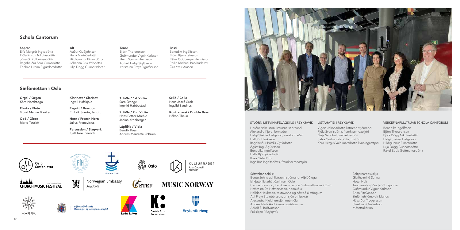

### ã Oslo

#### LISTAHÁTÍÐ Í REYKJAVÍK

Vigdís Jakobsdóttir, listrænn stjórnandi Fjóla Sverrisdóttir, framkvæmdastjóri Guja Sandholt, verkefnastjóri Salka Guðmundsdóttir, ritstjóri Kara Hergils Valdimarsdóttir, kynningarstjóri



**MUSIC NORWAY** 



 $\sigma$ <sub>STEF</sub>



Reykjavíkurborg



aaaan

.<br>Stiórnarráð Íslands Menningar- og viðskiptaráðuneytið

#### VERKEFNAFULLTRÚAR SCHOLA CANTORUM

Benedikt Ingólfsson Björn Thorarensen Fjóla Dögg Nikulásdóttir Helgi Steinar Helgason Hildigunnur Einarsdóttir Lilja Dögg Gunnarsdóttir Rakel Edda Guðmundsdóttir



Hörður Áskelsson, listrænn stjórnandi Alexandra Kjeld, formaður Helgi Steinar Helgason, varaformaður Halldór Hauksson Ragnheiður Þórdís Gylfadóttir Ágúst Ingi Ágústsson Benedikt Ingólfsson Halla Björgvinsdóttir Rósa Gísladóttir Inga Rós Ingólfsdóttir, framkvæmdastjóri

Sérstakar þakkir:

Bente Johnsrud, listrænn stjórnandi Alþjóðlegu

kirkjutónlistarhátíðarinnar í Ósló

Cecilie Stensrud, framkvæmdastjóri Sinfóníettunnar í Ósló

Hafsteinn Sv. Hafsteinsson, hönnuður

Halldór Hauksson, textavinna og aðstoð á æfingum

Atli Freyr Steinþórsson, umsjón efnisskrár Alexandra Kjeld, umsjón netmiðla Andrés Narfi Andrésson, sviðshönnun

Alfreð S. Böðvarsson Fríkirkjan í Reykjavík

- Seltjarnarneskirkja
- Gistiheimilið Sunna
- Hótel Holt
- Tónmenntasjóður þjóðkirkjunnar
- Guðmundur Vignir Karlsson
- Brian FitzGibbon
- Sinfóníuhljómsveit Íslands
- Hávarður Tryggvason
- Steef van Oosterhout
- Mótettukórinn

Norwegian Embassy

**ÞJÓÐKIRKJAN** 

*Reykjavik*

Orgel / Organ Kåre Nordstoga

Flauta / Flute Trond Magne Brekka

Óbó / Oboe Marie Tetzlaff Klarinett / Clarinet Ingvill Hafskjold

Fagott / Bassoon Embrik Snerte, fagott

Horn / French Horn Julius Pranevicius

Percussion / Slagverk Kjell Tore Innervik

1. fiðla / 1st Violin Sara Övinge Ingvild Habbestad

2. fiðla / 2nd Violin Hans Petter Mæhle Janina Kronberger

Lágfiðla / Viola Bendik Foss Andrés Maurette O'Brien Selló / Cello Hans Josef Groh Ingvild Sandnes

Kontrabassi / Double Bass Håkon Thelin

#### Sópran

Elfa Margrét Ingvadóttir Fjóla Kristín Nikulásdóttir Jóna G. Kolbrúnardóttir Ragnheiður Sara Grímsdóttir Thelma Hrönn Sigurdórsdóttir Alt

Auður Guðjohnsen Halla Marinósdóttir Hildigunnur Einarsdóttir Jóhanna Ósk Valsdóttir Lilja Dögg Gunnarsdóttir

#### Tenór

Björn Thorarensen Guðmundur Vignir Karlsson Helgi Steinar Helgason Þorkell Helgi Sigfússon Þorsteinn Freyr Sigurðarson Bassi Benedikt Ingólfsson Björn Bjarnsteinsson Pétur Oddbergur Heimisson Philip Michael Barkhudarov Örn Ýmir Arason

### Schola Cantorum

### Sinfóníettan í Ósló

Oslo<br>Sinfonietta

**CHURCH MUSIC FESTIVAL**